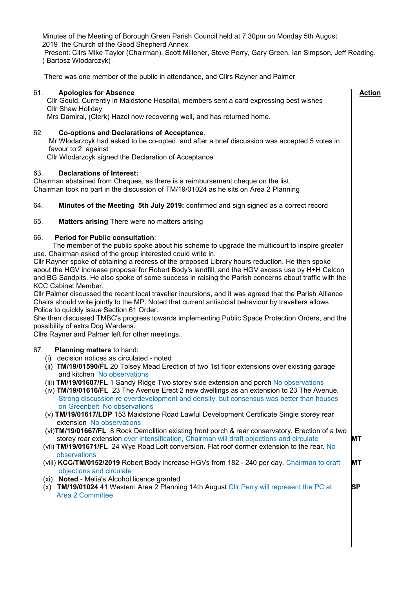Minutes of the Meeting of Borough Green Parish Council held at 7.30pm on Monday 5th August 2019 the Church of the Good Shepherd Annex

Present: Cllrs Mike Taylor (Chairman), Scott Millener, Steve Perry, Gary Green, Ian Simpson, Jeff Reading. ( Bartosz Wlodarczyk)

There was one member of the public in attendance, and Cllrs Rayner and Palmer

| <b>Apologies for Absence</b><br>61.<br>Cllr Gould, Currently in Maidstone Hospital, members sent a card expressing best wishes<br>Cllr Shaw Holiday<br>Mrs Damiral, (Clerk) Hazel now recovering well, and has returned home.                                                                                                                                                                                                                                                                                                                                                                                                                                                                                                                                                                                                                                                                                                                                                                                                                                                                                                                                                                                                                                                      | <b>Action</b>         |
|------------------------------------------------------------------------------------------------------------------------------------------------------------------------------------------------------------------------------------------------------------------------------------------------------------------------------------------------------------------------------------------------------------------------------------------------------------------------------------------------------------------------------------------------------------------------------------------------------------------------------------------------------------------------------------------------------------------------------------------------------------------------------------------------------------------------------------------------------------------------------------------------------------------------------------------------------------------------------------------------------------------------------------------------------------------------------------------------------------------------------------------------------------------------------------------------------------------------------------------------------------------------------------|-----------------------|
| 62<br><b>Co-options and Declarations of Acceptance.</b><br>Mr Wlodarzcyk had asked to be co-opted, and after a brief discussion was accepted 5 votes in<br>favour to 2 against<br>Cllr Wlodarzcyk signed the Declaration of Acceptance                                                                                                                                                                                                                                                                                                                                                                                                                                                                                                                                                                                                                                                                                                                                                                                                                                                                                                                                                                                                                                             |                       |
| <b>Declarations of Interest:</b><br>63.<br>Chairman abstained from Cheques, as there is a reimbursement cheque on the list.<br>Chairman took no part in the discussion of TM/19/01024 as he sits on Area 2 Planning                                                                                                                                                                                                                                                                                                                                                                                                                                                                                                                                                                                                                                                                                                                                                                                                                                                                                                                                                                                                                                                                |                       |
| Minutes of the Meeting 5th July 2019: confirmed and sign signed as a correct record<br>64.                                                                                                                                                                                                                                                                                                                                                                                                                                                                                                                                                                                                                                                                                                                                                                                                                                                                                                                                                                                                                                                                                                                                                                                         |                       |
| 65.<br><b>Matters arising There were no matters arising</b>                                                                                                                                                                                                                                                                                                                                                                                                                                                                                                                                                                                                                                                                                                                                                                                                                                                                                                                                                                                                                                                                                                                                                                                                                        |                       |
| <b>Period for Public consultation:</b><br>66.<br>The member of the public spoke about his scheme to upgrade the multicourt to inspire greater<br>use. Chairman asked of the group interested could write in.<br>Cllr Rayner spoke of obtaining a redress of the proposed Library hours reduction. He then spoke<br>about the HGV increase proposal for Robert Body's landfill, and the HGV excess use by H+H Celcon<br>and BG Sandpits. He also spoke of some success in raising the Parish concerns about traffic with the<br><b>KCC Cabinet Member.</b><br>CIIr Palmer discussed the recent local traveller incursions, and it was agreed that the Parish Alliance<br>Chairs should write jointly to the MP. Noted that current antisocial behaviour by travellers allows<br>Police to quickly issue Section 61 Order.<br>She then discussed TMBC's progress towards implementing Public Space Protection Orders, and the<br>possibility of extra Dog Wardens.<br>Cllrs Rayner and Palmer left for other meetings                                                                                                                                                                                                                                                                |                       |
| 67.<br><b>Planning matters to hand:</b><br>(i) decision notices as circulated - noted<br>(ii) TM/19/01590/FL 20 Tolsey Mead Erection of two 1st floor extensions over existing garage<br>and kitchen No observations<br>(iii) TM/19/01607/FL 1 Sandy Ridge Two storey side extension and porch No observations<br>(iv) TM/19/01616/FL 23 The Avenue Erect 2 new dwellings as an extension to 23 The Avenue,<br>Strong discussion re overdevelopment and density, but consensus was better than houses<br>on Greenbelt No observations<br>(v) TM/19/01617/LDP 153 Maidstone Road Lawful Development Certificate Single storey rear<br>extension No observations<br>(vi)TM/19/01667/FL 8 Rock Demolition existing front porch & rear conservatory. Erection of a two<br>storey rear extension over intensification, Chairman will draft objections and circulate<br>(vii) TM/19/01671/FL 24 Wye Road Loft conversion. Flat roof dormer extension to the rear. No<br>observations<br>(viii) KCC/TM/0152/2019 Robert Body increase HGVs from 182 - 240 per day. Chairman to draft<br>objections and circulate<br>(xi) Noted - Melia's Alcohol licence granted<br>(x) TM/19/01024 41 Western Area 2 Planning 14th August Cllr Perry will represent the PC at<br><b>Area 2 Committee</b> | MТ<br>MT<br><b>SP</b> |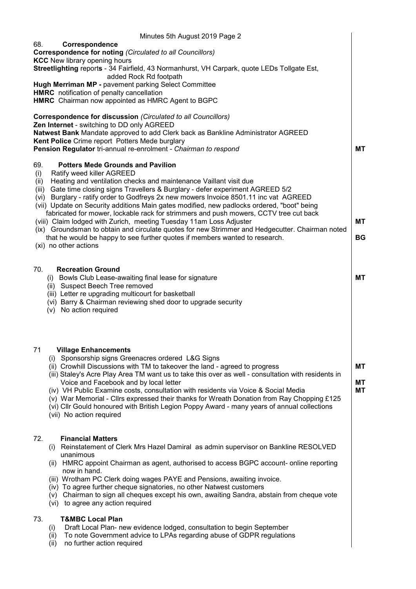| Minutes 5th August 2019 Page 2                                                                                                                                                                                                                                                                                                                              |           |
|-------------------------------------------------------------------------------------------------------------------------------------------------------------------------------------------------------------------------------------------------------------------------------------------------------------------------------------------------------------|-----------|
| 68.<br>Correspondence<br><b>Correspondence for noting (Circulated to all Councillors)</b><br><b>KCC</b> New library opening hours<br>Streetlighting reports - 34 Fairfield, 43 Normanhurst, VH Carpark, quote LEDs Tollgate Est,                                                                                                                            |           |
| added Rock Rd footpath<br>Hugh Merriman MP - pavement parking Select Committee<br>HMRC notification of penalty cancellation                                                                                                                                                                                                                                 |           |
| HMRC Chairman now appointed as HMRC Agent to BGPC                                                                                                                                                                                                                                                                                                           |           |
| Correspondence for discussion (Circulated to all Councillors)<br>Zen Internet - switching to DD only AGREED<br>Natwest Bank Mandate approved to add Clerk back as Bankline Administrator AGREED                                                                                                                                                             |           |
| Kent Police Crime report Potters Mede burglary<br>Pension Regulator tri-annual re-enrolment - Chairman to respond                                                                                                                                                                                                                                           | МT        |
|                                                                                                                                                                                                                                                                                                                                                             |           |
| 69.<br><b>Potters Mede Grounds and Pavilion</b><br>Ratify weed killer AGREED<br>(i)                                                                                                                                                                                                                                                                         |           |
| Heating and ventilation checks and maintenance Vaillant visit due<br>(ii)<br>Gate time closing signs Travellers & Burglary - defer experiment AGREED 5/2<br>(iii)<br>Burglary - ratify order to Godfreys 2x new mowers Invoice 8501.11 inc vat AGREED<br>(vi)<br>(vii) Update on Security additions Main gates modified, new padlocks ordered, "boot" being |           |
| fabricated for mower, lockable rack for strimmers and push mowers, CCTV tree cut back                                                                                                                                                                                                                                                                       | МT        |
| (viii) Claim lodged with Zurich, meeting Tuesday 11am Loss Adjuster<br>(ix) Groundsman to obtain and circulate quotes for new Strimmer and Hedgecutter. Chairman noted                                                                                                                                                                                      |           |
| that he would be happy to see further quotes if members wanted to research.<br>(xi) no other actions                                                                                                                                                                                                                                                        | <b>BG</b> |
|                                                                                                                                                                                                                                                                                                                                                             |           |
| 70.<br><b>Recreation Ground</b><br>(i) Bowls Club Lease-awaiting final lease for signature                                                                                                                                                                                                                                                                  | <b>MT</b> |
| (ii) Suspect Beech Tree removed                                                                                                                                                                                                                                                                                                                             |           |
| (iii) Letter re upgrading multicourt for basketball<br>(vi) Barry & Chairman reviewing shed door to upgrade security                                                                                                                                                                                                                                        |           |
| (v) No action required                                                                                                                                                                                                                                                                                                                                      |           |
|                                                                                                                                                                                                                                                                                                                                                             |           |
|                                                                                                                                                                                                                                                                                                                                                             |           |
| 71<br><b>Village Enhancements</b><br>(i) Sponsorship signs Greenacres ordered L&G Signs                                                                                                                                                                                                                                                                     |           |
| (ii) Crowhill Discussions with TM to takeover the land - agreed to progress<br>(iii) Staley's Acre Play Area TM want us to take this over as well - consultation with residents in                                                                                                                                                                          | МT        |
| Voice and Facebook and by local letter                                                                                                                                                                                                                                                                                                                      | МT        |
| (iv) VH Public Examine costs, consultation with residents via Voice & Social Media<br>(v) War Memorial - Cllrs expressed their thanks for Wreath Donation from Ray Chopping £125                                                                                                                                                                            | МT        |
| (vi) Cllr Gould honoured with British Legion Poppy Award - many years of annual collections<br>(vii) No action required                                                                                                                                                                                                                                     |           |
|                                                                                                                                                                                                                                                                                                                                                             |           |
| 72.<br><b>Financial Matters</b>                                                                                                                                                                                                                                                                                                                             |           |
| (i) Reinstatement of Clerk Mrs Hazel Damiral as admin supervisor on Bankline RESOLVED<br>unanimous                                                                                                                                                                                                                                                          |           |
| (ii) HMRC appoint Chairman as agent, authorised to access BGPC account- online reporting                                                                                                                                                                                                                                                                    |           |
| now in hand.<br>(iii) Wrotham PC Clerk doing wages PAYE and Pensions, awaiting invoice.                                                                                                                                                                                                                                                                     |           |
| (iv) To agree further cheque signatories, no other Natwest customers<br>(v) Chairman to sign all cheques except his own, awaiting Sandra, abstain from cheque vote                                                                                                                                                                                          |           |
| (vi) to agree any action required                                                                                                                                                                                                                                                                                                                           |           |
| <b>T&amp;MBC Local Plan</b><br>73.                                                                                                                                                                                                                                                                                                                          |           |
| Draft Local Plan- new evidence lodged, consultation to begin September<br>(i)<br>To note Government advice to LPAs regarding abuse of GDPR regulations<br>(ii)                                                                                                                                                                                              |           |
| no further action required<br>(ii)                                                                                                                                                                                                                                                                                                                          |           |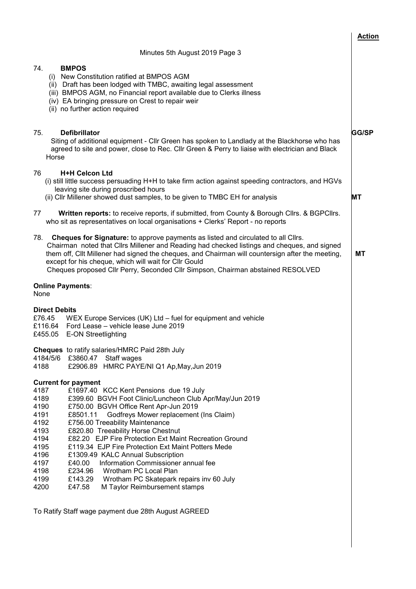|                                                                                                                                                                                                                                                                                                                                                                                                                                                                                                                                                                                                                                                                                                                                                       | <b>Action</b> |
|-------------------------------------------------------------------------------------------------------------------------------------------------------------------------------------------------------------------------------------------------------------------------------------------------------------------------------------------------------------------------------------------------------------------------------------------------------------------------------------------------------------------------------------------------------------------------------------------------------------------------------------------------------------------------------------------------------------------------------------------------------|---------------|
| Minutes 5th August 2019 Page 3                                                                                                                                                                                                                                                                                                                                                                                                                                                                                                                                                                                                                                                                                                                        |               |
| 74.<br><b>BMPOS</b><br>(i) New Constitution ratified at BMPOS AGM<br>(ii) Draft has been lodged with TMBC, awaiting legal assessment<br>(iii) BMPOS AGM, no Financial report available due to Clerks illness<br>(iv) EA bringing pressure on Crest to repair weir<br>(ii) no further action required                                                                                                                                                                                                                                                                                                                                                                                                                                                  |               |
| 75.<br><b>Defibrillator</b><br>Siting of additional equipment - Cllr Green has spoken to Landlady at the Blackhorse who has<br>agreed to site and power, close to Rec. Cllr Green & Perry to liaise with electrician and Black<br>Horse                                                                                                                                                                                                                                                                                                                                                                                                                                                                                                               | <b>GG/SP</b>  |
| <b>H+H Celcon Ltd</b><br>76.<br>(i) still little success persuading H+H to take firm action against speeding contractors, and HGVs<br>leaving site during proscribed hours<br>(ii) Cllr Millener showed dust samples, to be given to TMBC EH for analysis                                                                                                                                                                                                                                                                                                                                                                                                                                                                                             | МT            |
| Written reports: to receive reports, if submitted, from County & Borough Cllrs. & BGPCIIrs.<br>77<br>who sit as representatives on local organisations + Clerks' Report - no reports                                                                                                                                                                                                                                                                                                                                                                                                                                                                                                                                                                  |               |
| 78.<br><b>Cheques for Signature:</b> to approve payments as listed and circulated to all Clirs.<br>Chairman noted that Cllrs Millener and Reading had checked listings and cheques, and signed<br>them off, Cllt Millener had signed the cheques, and Chairman will countersign after the meeting,<br>except for his cheque, which will wait for Cllr Gould<br>Cheques proposed Cllr Perry, Seconded Cllr Simpson, Chairman abstained RESOLVED                                                                                                                                                                                                                                                                                                        | МT            |
| <b>Online Payments:</b><br>None                                                                                                                                                                                                                                                                                                                                                                                                                                                                                                                                                                                                                                                                                                                       |               |
| <b>Direct Debits</b><br>£76.45<br>WEX Europe Services (UK) Ltd – fuel for equipment and vehicle<br>£116.64 Ford Lease - vehicle lease June 2019<br><b>E-ON Streetlighting</b><br>£455.05                                                                                                                                                                                                                                                                                                                                                                                                                                                                                                                                                              |               |
| <b>Cheques</b> to ratify salaries/HMRC Paid 28th July<br>4184/5/6 £3860.47 Staff wages<br>£2906.89 HMRC PAYE/NI Q1 Ap, May, Jun 2019<br>4188                                                                                                                                                                                                                                                                                                                                                                                                                                                                                                                                                                                                          |               |
| <b>Current for payment</b><br>4187<br>£1697.40 KCC Kent Pensions due 19 July<br>4189<br>£399.60 BGVH Foot Clinic/Luncheon Club Apr/May/Jun 2019<br>4190<br>£750.00 BGVH Office Rent Apr-Jun 2019<br>4191<br>Godfreys Mower replacement (Ins Claim)<br>£8501.11<br>4192<br>£756.00 Treeability Maintenance<br>4193<br>£820.80 Treeability Horse Chestnut<br>4194<br>£82.20 EJP Fire Protection Ext Maint Recreation Ground<br>4195<br>£119.34 EJP Fire Protection Ext Maint Potters Mede<br>4196<br>£1309.49 KALC Annual Subscription<br>Information Commissioner annual fee<br>4197<br>£40.00<br>£234.96 Wrotham PC Local Plan<br>4198<br>4199<br>£143.29 Wrotham PC Skatepark repairs inv 60 July<br>4200<br>£47.58<br>M Taylor Reimbursement stamps |               |
| To Ratify Staff wage payment due 28th August AGREED                                                                                                                                                                                                                                                                                                                                                                                                                                                                                                                                                                                                                                                                                                   |               |